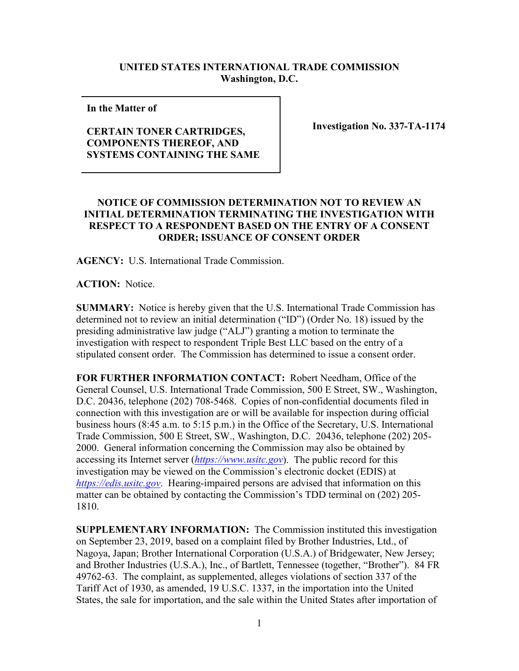## **UNITED STATES INTERNATIONAL TRADE COMMISSION Washington, D.C.**

**In the Matter of** 

## **CERTAIN TONER CARTRIDGES, COMPONENTS THEREOF, AND SYSTEMS CONTAINING THE SAME**

**Investigation No. 337-TA-1174**

## **NOTICE OF COMMISSION DETERMINATION NOT TO REVIEW AN INITIAL DETERMINATION TERMINATING THE INVESTIGATION WITH RESPECT TO A RESPONDENT BASED ON THE ENTRY OF A CONSENT ORDER; ISSUANCE OF CONSENT ORDER**

**AGENCY:** U.S. International Trade Commission.

**ACTION:** Notice.

**SUMMARY:** Notice is hereby given that the U.S. International Trade Commission has determined not to review an initial determination ("ID") (Order No. 18) issued by the presiding administrative law judge ("ALJ") granting a motion to terminate the investigation with respect to respondent Triple Best LLC based on the entry of a stipulated consent order. The Commission has determined to issue a consent order.

**FOR FURTHER INFORMATION CONTACT:** Robert Needham, Office of the General Counsel, U.S. International Trade Commission, 500 E Street, SW., Washington, D.C. 20436, telephone (202) 708-5468. Copies of non-confidential documents filed in connection with this investigation are or will be available for inspection during official business hours (8:45 a.m. to 5:15 p.m.) in the Office of the Secretary, U.S. International Trade Commission, 500 E Street, SW., Washington, D.C. 20436, telephone (202) 205- 2000. General information concerning the Commission may also be obtained by accessing its Internet server (*[https://www.usitc.gov](https://www.usitc.gov/)*). The public record for this investigation may be viewed on the Commission's electronic docket (EDIS) at *[https://edis.usitc.gov](https://edis.usitc.gov/)*. Hearing-impaired persons are advised that information on this matter can be obtained by contacting the Commission's TDD terminal on (202) 205- 1810.

**SUPPLEMENTARY INFORMATION:** The Commission instituted this investigation on September 23, 2019, based on a complaint filed by Brother Industries, Ltd., of Nagoya, Japan; Brother International Corporation (U.S.A.) of Bridgewater, New Jersey; and Brother Industries (U.S.A.), Inc., of Bartlett, Tennessee (together, "Brother"). 84 FR 49762-63. The complaint, as supplemented, alleges violations of section 337 of the Tariff Act of 1930, as amended, 19 U.S.C. 1337, in the importation into the United States, the sale for importation, and the sale within the United States after importation of